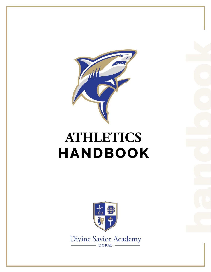

## **ATHLETICS HANDBOOK**



Divine Savior Academy  $-$  DORAL  $-$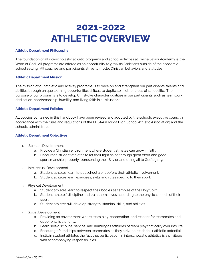### **2021-2022 ATHLETIC OVERVIEW**

#### **Athletic Department Philosophy**

The foundation of all interscholastic athletic programs and school activities at Divine Savior Academy is the Word of God. All programs are offered as an opportunity to grow as Christians outside of the academic school setting. All coaches and participants strive to model Christian behaviors and attitudes,

#### **Athletic Department Mission**

The mission of our athletic and activity programs is to develop and strengthen our participants' talents and abilities through unique learning opportunities difficult to duplicate in other areas of school life. The purpose of our programs is to develop Christ-like character qualities in our participants such as teamwork, dedication, sportsmanship, humility, and living faith in all situations.

#### **Athletic Department Policies**

All policies contained in this handbook have been revised and adopted by the school's executive council in accordance with the rules and regulations of the FHSAA (Florida High School Athletic Association) and the school's administration.

#### **Athletic Department Objectives**

- 1. Spiritual Development
	- a. Provide a Christian environment where student athletes can grow in faith.
	- b. Encourage student athletes to let their light shine through great effort and good sportsmanship, properly representing their Savior and doing all to God's glory.
- 2. Intellectual Development
	- a. Student athletes learn to put school work before their athletic involvement.
	- b. Student athletes learn exercises, skills and rules specific to their sport.
- 3. Physical Development
	- a. Student athletes learn to respect their bodies as temples of the Holy Spirit.
	- b. Student athletes' discipline and train themselves according to the physical needs of their sport.
	- c. Student athletes will develop strength, stamina, skills, and abilities.
- 4. Social Development
	- a. Providing an environment where team play, cooperation, and respect for teammates and opponents is a priority.
	- b. Learn self-discipline, service, and humility as attitudes of team play that carry over into life.
	- c. Encourage friendships between teammates as they strive to reach their athletic potential.
	- d. Instill in student athletes the fact that participation in interscholastic athletics is a privilege with accompanying responsibilities.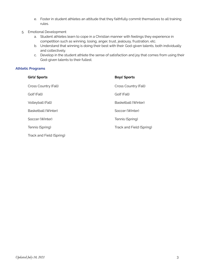- e. Foster in student athletes an attitude that they faithfully commit themselves to all training rules.
- 5. Emotional Development
	- a. Student athletes learn to cope in a Christian manner with feelings they experience in competition such as winning, losing, anger, trust, jealousy, frustration, etc.
	- b. Understand that winning is doing their best with their God-given talents, both individually and collectively.
	- c. Develop in the student athlete the sense of satisfaction and joy that comes from using their God-given talents to their fullest.

#### **Athletic Programs**

| <b>Girls' Sports</b>     | <b>Boys' Sports</b>      |
|--------------------------|--------------------------|
| Cross Country (Fall)     | Cross Country (Fall)     |
| Golf (Fall)              | Golf (Fall)              |
| Volleyball (Fall)        | Basketball (Winter)      |
| Basketball (Winter)      | Soccer (Winter)          |
| Soccer (Winter)          | Tennis (Spring)          |
| Tennis (Spring)          | Track and Field (Spring) |
| Track and Field (Spring) |                          |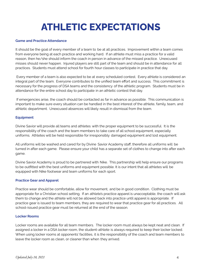### **ATHLETIC EXPECTATIONS**

#### **Game and Practice Attendance**

It should be the goal of every member of a team to be at all practices. Improvement within a team comes from everyone being at each practice and working hard. If an athlete must miss a practice for a valid reason, then he/she should inform the coach in person in advance of the missed practice. Unexcused misses should never happen. Injured players are still part of the team and should be in attendance for all practices. Students must attend school for fourth hour classes to participate in practice that day.

Every member of a team is also expected to be at every scheduled contest. Every athlete is considered an integral part of the team. Everyone contributes to the unified team effort and success. This commitment is necessary for the progress of DSA teams and the consistency of the athletic program. Students must be in attendance for the entire school day to participate in an athletic contest that day.

If emergencies arise, the coach should be contacted as far in advance as possible. This communication is important to make sure every situation can be handled in the best interest of the athlete, family, team, and athletic department. Unexcused absences will likely result in dismissal from the team.

#### **Equipment**

Divine Savior will provide all teams and athletes with the proper equipment to be successful. It is the responsibility of the coach and the team members to take care of all school equipment, especially uniforms. Athletes will be held responsible for irresponsibly damaged equipment and lost equipment.

All uniforms will be washed and cared for by Divine Savior Academy staff, therefore all uniforms will be turned in after each game. Please ensure your child has a separate set of clothes to change into after each game.

Divine Savior Academy is proud to be partnered with Nike. This partnership will help ensure our programs to be outfitted with the best uniforms and equipment possible. It is our intent that all athletes will be equipped with Nike footwear and team uniforms for each sport.

#### **Practice Gear and Apparel**

Practice wear should be comfortable, allow for movement, and be in good condition. Clothing must be appropriate for a Christian school setting. If an athlete's practice apparel is unacceptable, the coach will ask them to change and the athlete will not be allowed back into practice until apparel is appropriate. If practice gear is issued to team members, they are required to wear that practice gear for all practices. All school-issued practice gear must be returned at the end of the season.

#### **Locker Rooms**

Locker rooms are available for all team members. The locker room must always be kept neat and clean. If assigned a locker in a DSA locker room, the student-athlete is always required to keep their locker locked. When using locker rooms at opponents' facilities, it is the responsibility of the coach and team members to leave the locker room as clean, or cleaner than when they arrived.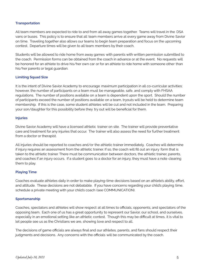#### **Transportation**

All team members are expected to ride to and from all away games together. Teams will travel in the DSA vans or buses. This policy is to ensure that all team members arrive at every game away from Divine Savior on time. Traveling together also allows our teams to begin team preparation and focus on the upcoming contest. Departure times will be given to all team members by their coach.

Students will be allowed to ride home from away games with parents with written permission submitted to the coach. Permission forms can be obtained from the coach in advance or at the event. No requests will be honored for an athlete to drive his/her own car or for an athlete to ride home with someone other than his/her parents or legal guardian.

#### **Limiting Squad Size**

It is the intent of Divine Savior Academy to encourage maximum participation in all co-curricular activities; however, the number of participants on a team must be manageable, safe, and comply with FHSAA regulations. The number of positions available on a team is dependent upon the sport. Should the number of participants exceed the number of positions available on a team, tryouts will be held to determine team membership. If this is the case, some student athletes will be cut and not included in the team. Preparing your son/daughter for this possibility before they try out will be beneficial for them.

#### **Injuries**

Divine Savior Academy will have a licensed athletic trainer on site. The trainer will provide preventative care and treatment for any injuries that occur. The trainer will also assess the need for further treatment from a doctor or therapist.

All injuries should be reported to coaches and/or the athletic trainer immediately. Coaches will determine if injury requires an assessment from the athletic trainer. If so, the coach will fill out an injury form that is taken to the athletic trainer. There must be communication between doctors, the athletic trainer, parents, and coaches if an injury occurs. If a student goes to a doctor for an injury, they must have a note clearing them to play.

#### **Playing Time**

Coaches evaluate athletes daily in order to make playing-time decisions based on an athlete's ability, effort, and attitude. These decisions are not debatable. If you have concerns regarding your child's playing time, schedule a private meeting with your child's coach (see COMMUNICATION).

#### **Sportsmanship**

Coaches, spectators and athletes will show respect at all times to officials, opponents, and spectators of the opposing team. Each one of us has a great opportunity to represent our Savior, our school, and ourselves, especially in an emotional setting like an athletic contest. Though this may be difficult at times, it is vital to let people see us as the Christians we are, showing love and respect to all.

The decisions of game officials are always final and our athletes, parents, and fans should respect their judgments and decisions. Any concerns with the officials will be communicated by the coach.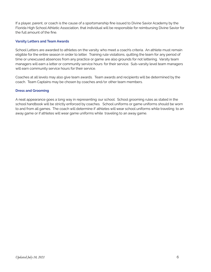If a player, parent, or coach is the cause of a sportsmanship fine issued to Divine Savior Academy by the Florida High School Athletic Association, that individual will be responsible for reimbursing Divine Savior for the full amount of the fine.

#### **Varsity Letters and Team Awards**

School Letters are awarded to athletes on the varsity who meet a coach's criteria. An athlete must remain eligible for the entire season in order to letter. Training rule violations, quitting the team for any period of time or unexcused absences from any practice or game are also grounds for not lettering. Varsity team managers will earn a letter or community service hours for their service. Sub-varsity level team managers will earn community service hours for their service.

Coaches at all levels may also give team awards. Team awards and recipients will be determined by the coach. Team Captains may be chosen by coaches and/or other team members.

#### **Dress and Grooming**

A neat appearance goes a long way in representing our school. School grooming rules as stated in the school handbook will be strictly enforced by coaches. School uniforms or game uniforms should be worn to and from all games. The coach will determine if athletes will wear school uniforms while traveling to an away game or if athletes will wear game uniforms while traveling to an away game.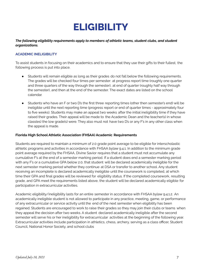### **ELIGIBILITY**

#### *The following eligibility requirements apply to members of athletic teams, student clubs, and student organizations.*

#### **ACADEMIC INELIGIBILITY**

To assist students in focusing on their academics and to ensure that they use their gifts to their fullest, the following process is put into place.

- Students will remain eligible as long as their grades do not fall below the following requirements. The grades will be checked four times per semester: at progress report time (roughly one quarter and three quarters of the way through the semester), at end of quarter (roughly half way through the semester), and then at the end of the semester. The exact dates are listed on the school calendar.
- Students who have an F or two D's the first three reporting times (other then semester's end) will be ineligible until the next reporting time (progress report or end of quarter times - approximately four to five weeks). Students may make an appeal two weeks after the initial ineligibility time if they have raised their grades. Their appeal will be made to the Academic Dean and the teacher(s) in whose class(es) the low grade(s) were. They also must not have two D's or any F's in any other class when the appeal is made.

#### **Florida High School Athletic Association (FHSAA) Academic Requirements**

Students are required to maintain a minimum of 2.0 grade point average to be eligible for interscholastic athletic programs and activities in accordance with FHSAA bylaw 9.4.1. In addition to the minimum grade point average required by the FHSAA, Divine Savior requires that a student must not accumulate any cumulative F's at the end of a semester marking period. If a student does end a semester marking period with any F's or a cumulative GPA below 2.0, that student will be declared academically ineligible for the next semester marking period whether they continue at DSA or transfer to another school. Any student receiving an incomplete is declared academically ineligible until the coursework is completed, at which time their GPA and final grades will be reviewed for eligibility status. If the completed coursework, resulting grade, and GPA meet the requirements listed above, the student will be declared academically eligible for participation in extracurricular activities.

Academic eligibility/ineligibility lasts for an entire semester in accordance with FHSAA bylaw 9.4.1.2. An academically ineligible student is not allowed to participate in any practice, meeting, game, or performance of any extracurricular or service activity until the end of the next semester when eligibility has been regained. Students are encouraged to work to raise their grades so they may join their clubs or teams when they appeal the decision after two weeks. A student declared academically ineligible after the second semester will serve his or her ineligibility for extracurricular activities at the beginning of the following year. Extracurricular activities include participation in athletics, chess, archery, serving as a class officer, Student Council, National Honor Society, and school clubs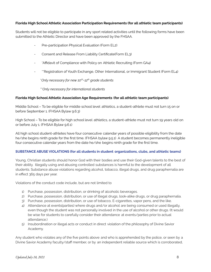#### **Florida High School Athletic Association Participation Requirements (for all athletic team participants)**

Students will not be eligible to participate in any sport related activities until the following forms have been submitted to the Athletic Director and have been approved by the FHSAA.

- Pre-participation Physical Evaluation (Form EL2)
- Consent and Release From Liability Certificate(Form EL3)
- \*Affidavit of Compliance with Policy on Athletic Recruiting (Form GA4)
- \*\*Registration of Youth Exchange, Other International, or Immigrant Student (Form EL4)

\**Only necessary for new 10 th-12 th grade students*

\*\**Only necessary for international students*

#### **Florida High School Athletic Association Age Requirements (for all athletic team participants)**

Middle School – To be eligible for middle school level athletics, a student-athlete must not turn 15 on or before September 1. (FHSAA Bylaw 9.6.3)

High School – To be eligible for high school level athletics, a student-athlete must not turn 19 years old on or before July 1. (FHSAA Bylaw 9.6.1)

All high school student-athletes have four consecutive calendar years of possible eligibility from the date he/she begins ninth grade for the first time. (FHSAA bylaw 9.5.1) A student becomes permanently ineligible four consecutive calendar years from the date he/she begins ninth grade for the first time.

#### **SUBSTANCE ABUSE VIOLATIONS (for all students in student organizations, clubs, and athletic teams)**

Young, Christian students should honor God with their bodies and use their God-given talents to the best of their ability. Illegally using and abusing controlled substances is harmful to the development of all students. Substance abuse violations regarding alcohol, tobacco, illegal drugs, and drug paraphernalia are in effect 365 days per year.

Violations of the conduct code include, but are not limited to

- 1) Purchase, possession, distribution, or drinking of alcoholic beverages.
- 2) Purchase, possession, distribution, or use of illegal drugs, look-alike drugs, or drug paraphernalia.
- 3) Purchase, possession, distribution, or use of tobacco, E-cigarettes, vapor pens, and the like.
- 4) Attendance at events(parties) where drugs and/or alcohol are being consumed or used illegally, even though the student was not personally involved in the use of alcohol or other drugs. (It would be wise for students to carefully consider their attendance at events/parties prior to actual attendance.)
- 5) Insubordination or illegal acts or conduct in direct violation of the philosophy of Divine Savior Academy.

Any student who violates any of the five points above and who is apprehended by the police, or seen by a Divine Savior Academy faculty/staff member, or by an independent reliable source which is corroborated,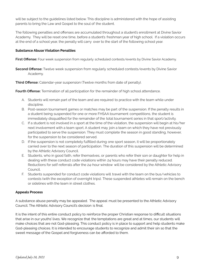will be subject to the guidelines listed below. This discipline is administered with the hope of assisting parents to bring the Law and Gospel to the soul of the student.

The following penalties and offenses are accumulated throughout a student's enrollment at Divine Savior Academy. They will be reset one time, before a student's freshman year of high school. If a violation occurs at the end of a school year, the penalty will carry over to the start of the following school year.

#### **Substance Abuse Violation Penalties**

**First Offense:** Four week suspension from regularly scheduled contests/events by Divine Savior Academy.

**Second Offense:** Twelve week suspension from regularly scheduled contests/events by Divine Savior Academy.

**Third Offense:** Calendar-year suspension (Twelve months from date of penalty).

**Fourth Offense:** Termination of all participation for the remainder of high school attendance.

- A. Students will remain part of the team and are required to practice with the team while under discipline.
- B. Post-season tournament games or matches may be part of the suspension. If the penalty results in a student being suspended for one or more FHSAA tournament competitions, the student is immediately disqualified for the remainder of the total tournament series in that sport/activity.
- C. If a student is not involved in a sport at the time of the violation, the suspension will begin at his/her next involvement with a team sport. A student may join a team on which they have not previously participated to serve the suspension. They must complete the season in good standing, however, for the suspension to be considered served.
- D. If the suspension is not completely fulfilled during one sport season, it will be proportionately carried over to the next season of participation. The duration of this suspension will be determined by the Athletic Advisory Council.
- E. Students, who in good faith, refer themselves, or parents who refer their son or daughter for help in dealing with these conduct code violations within 24 hours may have their penalty reduced. Reductions for self-referrals after the 24-hour window will be considered by the Athletic Advisory Council.
- F. Students suspended for conduct code violations will travel with the team on the bus/vehicles to contests (with the exception of overnight trips). These suspended athletes will remain on the bench or sidelines with the team in street clothes.

#### **Appeals Process**

A substance abuse penalty may be appealed. The appeal must be presented to the Athletic Advisory Council. The Athletic Advisory Council's decision is final.

It is the intent of this entire conduct policy to reinforce the proper Christian response to difficult situations that arise in our youths' lives. We recognize that the temptations are great and at times, our students will make choices that are not God-pleasing. This conduct policy is in place to support and help students make God-pleasing choices. It is intended to encourage students to recognize and admit their sin so that the sweet message of the Gospel and forgiveness can be afforded to them.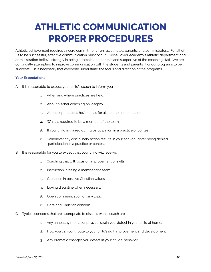### **ATHLETIC COMMUNICATION PROPER PROCEDURES**

Athletic achievement requires sincere commitment from all athletes, parents, and administrators. For all of us to be successful, effective communication must occur. Divine Savior Academy's athletic department and administration believe strongly in being accessible to parents and supportive of the coaching staff. We are continually attempting to improve communication with the students and parents. For our programs to be successful, it is necessary that everyone understand the focus and direction of the programs.

#### **Your Expectations**

- A. It is reasonable to expect your child's coach to inform you:
	- 1. When and where practices are held.
	- 2. About his/her coaching philosophy.
	- 3. About expectations he/she has for all athletes on the team.
	- 4. What is required to be a member of the team.
	- 5. If your child is injured during participation in a practice or contest.
	- 6. Whenever any disciplinary action results in your son/daughter being denied participation in a practice or contest.
- B. It is reasonable for you to expect that your child will receive:
	- 1. Coaching that will focus on improvement of skills.
	- 2. Instruction in being a member of a team.
	- 3. Guidance in positive Christian values.
	- 4. Loving discipline when necessary.
	- 5. Open communication on any topic.
	- 6. Care and Christian concern.
- C. Typical concerns that are appropriate to discuss with a coach are:
	- 1. Any unhealthy mental or physical strain you detect in your child at home.
	- 2. How you can contribute to your child's skill improvement and development.
	- 3. Any dramatic changes you detect in your child's behavior.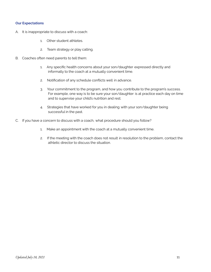#### **Our Expectations**

- A. It is inappropriate to discuss with a coach:
	- 1. Other student athletes.
	- 2. Team strategy or play calling.
- B. Coaches often need parents to tell them:
	- 1. Any specific health concerns about your son/daughter expressed directly and informally to the coach at a mutually convenient time.
	- 2. Notification of any schedule conflicts well in advance.
	- 3. Your commitment to the program, and how you contribute to the program's success. For example, one way is to be sure your son/daughter is at practice each day on time and to supervise your child's nutrition and rest.
	- 4. Strategies that have worked for you in dealing with your son/daughter being successful in the past.
- C. If you have a concern to discuss with a coach, what procedure should you follow?
	- 1. Make an appointment with the coach at a mutually convenient time.
	- 2. If the meeting with the coach does not result in resolution to the problem, contact the athletic director to discuss the situation.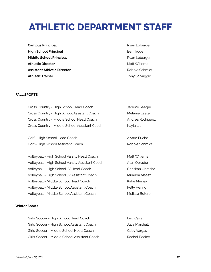### **ATHLETIC DEPARTMENT STAFF**

**Campus Principal Campus Principal Ryan Loberger High School Principal Ben Troge** Ben Troge **Middle School Principal Ryan Loberger** Ryan Loberger **Athletic Director** Matt Willems **Assistant Athletic Director Contract Contract Athletic Director Robbie Schmidt Athletic Trainer** The Trainer Tony Salvaggio

#### **FALL SPORTS**

| Cross Country - High School Head Coach           | Jeremy Seeger     |
|--------------------------------------------------|-------------------|
| Cross Country - High School Assistant Coach      | Melanie Laete     |
| Cross Country - Middle School Head Coach         | Andrea Rodriguez  |
| Cross Country - Middle School Assistant Coach    | Kayla Liu         |
|                                                  |                   |
| Golf - High School Head Coach                    | Alvaro Puche      |
| Golf - High School Assistant Coach               | Robbie Schmidt    |
|                                                  |                   |
| Volleyball - High School Varsity Head Coach      | Matt Willems      |
| Volleyball - High School Varsity Assistant Coach | Alan Obrador      |
| Volleyball - High School JV Head Coach           | Chrisitan Obrador |
| Volleyball - High School JV Assistant Coach      | Miranda Maasz     |
| Volleyball - Middle School Head Coach            | Katie Meihak      |
| Volleyball - Middle School Assistant Coach       | Kelly Hering      |
| Volleyball - Middle School Assistant Coach       | Melissa Botero    |
|                                                  |                   |

#### **Winter Sports**

| Girls' Soccer - High School Head Coach        | Lexi Caira     |
|-----------------------------------------------|----------------|
| Girls' Soccer - High School Assistant Coach   | Julia Marshall |
| Girls' Soccer - Middle School Head Coach      | Gaby Vargas    |
| Girls' Soccer - Middle School Assistant Coach | Rachel Becker  |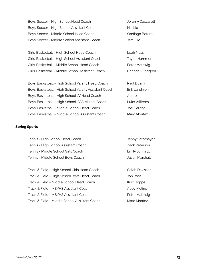Boys' Soccer - High School Head Coach Jeremy Daccarett Boys' Soccer - High School Assistant Coach Nic Liu Boys' Soccer - Middle School Head Coach Santiago Botero Boys' Soccer - Middle School Assistant Coach Jeff Lillo

Girls' Basketball - High School Head Coach Leah Nass Girls' Basketball - High School Assistant Coach Taylor Hammer Girls' Basketball - Middle School Head Coach Peter Mathwig Girls' Basketball - Middle School Assistant Coach Hannah Rundgren

Boys' Basketball - High School Varsity Head Coach Raul Duany Boys' Basketball - High School Varsity Assistant Coach Erik Landwehr Boys' Basketball - High School JV Head Coach Andres Boys' Basketball - High School JV Assistant Coach Luke Willems Boys' Basketball - Middle School Head Coach Joe Herring Boys' Basketball - Middle School Assistant Coach Marc Montez

#### **Spring Sports**

Tennis - High School Head Coach Jenny Sotomayor Tennis - High School Assistant Coach Zack Peterson Tennis - Middle School Girls Coach **Emily Schmidt** Tennis - Middle School Boys Coach **Gottom Containers** Justin Marshall

Track & Field - High School Girls Head Coach Caleb Davisson Track & Field - High School Boys Head Coach Jon Ross Track & Field - Middle School Head Coach Kurt Hoppe Track & Field - MS/HS Assistant Coach Abby Moline Track & Field - MS/HS Assistant Coach Peter Mathwig Track & Field - Middle School Assistant Coach Marc Montez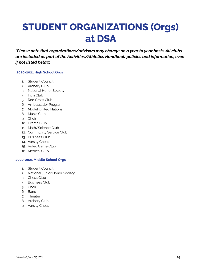### **STUDENT ORGANIZATIONS (Orgs) at DSA**

**\****Please note that organizations/advisors may change on a year to year basis. All clubs are included as part of the Activities/Athletics Handbook policies and information, even if not listed below.*

#### **2020-2021 High School Orgs**

- 1. Student Council
- 2. Archery Club
- 3. National Honor Society
- 4. Film Club
- 5. Red Cross Club
- 6. Ambassador Program
- 7. Model United Nations
- 8. Music Club
- 9. Choir
- 10. Drama Club
- 11. Math/Science Club
- 12. Community Service Club
- 13. Business Club
- 14. Varsity Chess
- 15. Video Game Club
- 16. Medical Club

#### **2020-2021 Middle School Orgs**

- 1. Student Council
- 2. National Junior Honor Society
- 3. Chess Club
- 4. Business Club
- 5. Choir
- 6. Band
- 7. Theater
- 8. Archery Club
- 9. Varsity Chess